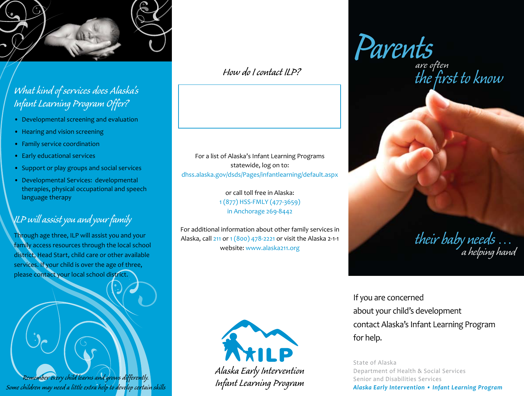

#### *What kind of services does Alaska's Infant Learning Program Offer?*

- Developmental screening and evaluation
- Hearing and vision screening
- Family service coordination
- Early educational services
- Support or play groups and social services
- Developmental Services: developmental therapies, physical occupational and speech language therapy

#### *ILP will assist you and your family*

Through age three, ILP will assist you and your family access resources through the local school district, Head Start, child care or other available services. If your child is over the age of three, please contact your local school district.

*Remember every child learns and grows differently. Some children may need a little extra help to develop certain skills*

For a list of Alaska's Infant Learning Programs statewide, log on to: dhss.alaska.gov/dsds/Pages/infantlearning/default.aspx

> or call toll free in Alaska: 1 (877) HSS-FMLY (477-3659) in Anchorage 269-8442

For additional information about other family services in Alaska, call 211 or 1 (800) 478-2221 or visit the Alaska 2-1-1 website: www.alaska211.org



*Alaska Early Intervention Infant Learning Program*

*How do I contact ILP? are often Parents*

*the first to know*

*their baby needs* … *a helping hand*

If you are concerned about your child's development contact Alaska's Infant Learning Program for help.

State of Alaska Department of Health & Social Services Senior and Disabilities Services *Alaska Early Intervention • Infant Learning Program*